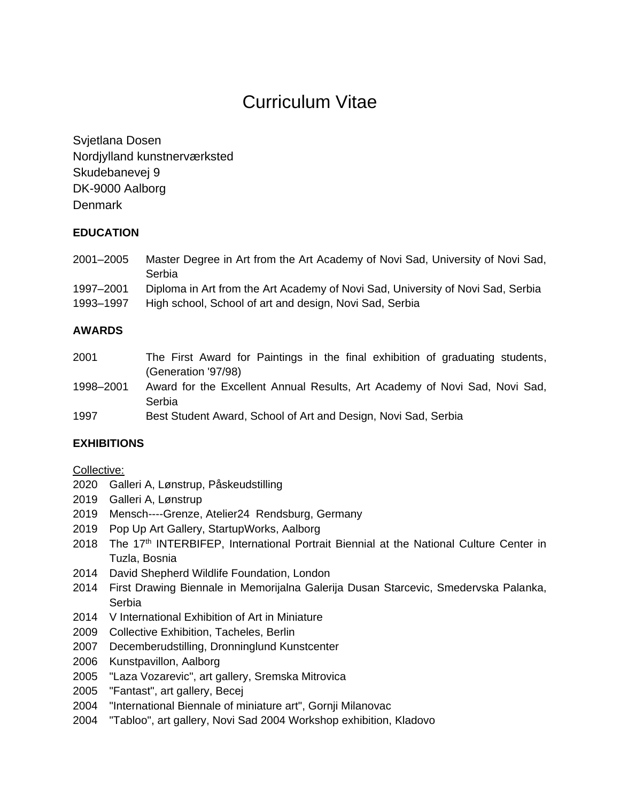# Curriculum Vitae

Svjetlana Dosen Nordjylland kunstnerværksted Skudebanevej 9 DK-9000 Aalborg **Denmark** 

# **EDUCATION**

| 2001-2005 | Master Degree in Art from the Art Academy of Novi Sad, University of Novi Sad,<br>Serbia |
|-----------|------------------------------------------------------------------------------------------|
| 1997-2001 | Diploma in Art from the Art Academy of Novi Sad, University of Novi Sad, Serbia          |
| 1993-1997 | High school, School of art and design, Novi Sad, Serbia                                  |

# **AWARDS**

| 2001                 | The First Award for Paintings in the final exhibition of graduating students, |
|----------------------|-------------------------------------------------------------------------------|
|                      | (Generation '97/98)                                                           |
| 1998-2001            | Award for the Excellent Annual Results, Art Academy of Novi Sad, Novi Sad,    |
|                      | Serbia                                                                        |
| $\sim$ $\sim$ $\sim$ |                                                                               |

1997 Best Student Award, School of Art and Design, Novi Sad, Serbia

# **EXHIBITIONS**

#### Collective:

- 2020 Galleri A, Lønstrup, Påskeudstilling
- 2019 Galleri A, Lønstrup
- 2019 Mensch----Grenze, Atelier24 Rendsburg, Germany
- 2019 Pop Up Art Gallery, StartupWorks, Aalborg
- 2018 The 17<sup>th</sup> INTERBIFEP, International Portrait Biennial at the National Culture Center in Tuzla, Bosnia
- 2014 David Shepherd Wildlife Foundation, London
- 2014 First Drawing Biennale in Memorijalna Galerija Dusan Starcevic, Smedervska Palanka, Serbia
- 2014 V International Exhibition of Art in Miniature
- 2009 Collective Exhibition, Tacheles, Berlin
- 2007 Decemberudstilling, Dronninglund Kunstcenter
- 2006 Kunstpavillon, Aalborg
- 2005 "Laza Vozarevic", art gallery, Sremska Mitrovica
- 2005 "Fantast", art gallery, Becej
- 2004 "International Biennale of miniature art", Gornji Milanovac
- 2004 "Tabloo", art gallery, Novi Sad 2004 Workshop exhibition, Kladovo